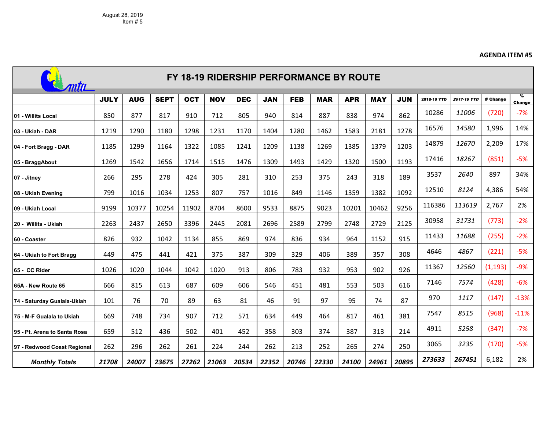## **AGENDA ITEM #5**

| FY 18-19 RIDERSHIP PERFORMANCE BY ROUTE |             |            |             |            |            |            |            |            |            |            |            |            |             |                    |          |                                |
|-----------------------------------------|-------------|------------|-------------|------------|------------|------------|------------|------------|------------|------------|------------|------------|-------------|--------------------|----------|--------------------------------|
|                                         | <b>JULY</b> | <b>AUG</b> | <b>SEPT</b> | <b>OCT</b> | <b>NOV</b> | <b>DEC</b> | <b>JAN</b> | <b>FEB</b> | <b>MAR</b> | <b>APR</b> | <b>MAY</b> | <b>JUN</b> | 2018-19 YTD | <b>2017-18 YTD</b> | # Change | $\frac{9}{6}$<br><b>Change</b> |
| 01 - Willits Local                      | 850         | 877        | 817         | 910        | 712        | 805        | 940        | 814        | 887        | 838        | 974        | 862        | 10286       | 11006              | (720)    | $-7%$                          |
| l03 - Ukiah - DAR                       | 1219        | 1290       | 1180        | 1298       | 1231       | 1170       | 1404       | 1280       | 1462       | 1583       | 2181       | 1278       | 16576       | 14580              | 1,996    | 14%                            |
| 04 - Fort Bragg - DAR                   | 1185        | 1299       | 1164        | 1322       | 1085       | 1241       | 1209       | 1138       | 1269       | 1385       | 1379       | 1203       | 14879       | 12670              | 2,209    | 17%                            |
| 05 - BraggAbout                         | 1269        | 1542       | 1656        | 1714       | 1515       | 1476       | 1309       | 1493       | 1429       | 1320       | 1500       | 1193       | 17416       | 18267              | (851)    | $-5%$                          |
| 07 - Jitney                             | 266         | 295        | 278         | 424        | 305        | 281        | 310        | 253        | 375        | 243        | 318        | 189        | 3537        | 2640               | 897      | 34%                            |
| 08 - Ukiah Evening                      | 799         | 1016       | 1034        | 1253       | 807        | 757        | 1016       | 849        | 1146       | 1359       | 1382       | 1092       | 12510       | 8124               | 4,386    | 54%                            |
| I09 - Ukiah Local                       | 9199        | 10377      | 10254       | 11902      | 8704       | 8600       | 9533       | 8875       | 9023       | 10201      | 10462      | 9256       | 116386      | 113619             | 2,767    | 2%                             |
| 20 - Willits - Ukiah                    | 2263        | 2437       | 2650        | 3396       | 2445       | 2081       | 2696       | 2589       | 2799       | 2748       | 2729       | 2125       | 30958       | 31731              | (773)    | $-2%$                          |
| I60 - Coaster                           | 826         | 932        | 1042        | 1134       | 855        | 869        | 974        | 836        | 934        | 964        | 1152       | 915        | 11433       | 11688              | (255)    | $-2%$                          |
| 64 - Ukiah to Fort Bragg                | 449         | 475        | 441         | 421        | 375        | 387        | 309        | 329        | 406        | 389        | 357        | 308        | 4646        | 4867               | (221)    | $-5%$                          |
| 65 - CC Rider                           | 1026        | 1020       | 1044        | 1042       | 1020       | 913        | 806        | 783        | 932        | 953        | 902        | 926        | 11367       | 12560              | (1, 193) | $-9%$                          |
| I65A - New Route 65                     | 666         | 815        | 613         | 687        | 609        | 606        | 546        | 451        | 481        | 553        | 503        | 616        | 7146        | 7574               | (428)    | $-6%$                          |
| 74 - Saturday Gualala-Ukiah             | 101         | 76         | 70          | 89         | 63         | 81         | 46         | 91         | 97         | 95         | 74         | 87         | 970         | 1117               | (147)    | $-13%$                         |
| 75 - M-F Gualala to Ukiah               | 669         | 748        | 734         | 907        | 712        | 571        | 634        | 449        | 464        | 817        | 461        | 381        | 7547        | 8515               | (968)    | $-11%$                         |
| 95 - Pt. Arena to Santa Rosa            | 659         | 512        | 436         | 502        | 401        | 452        | 358        | 303        | 374        | 387        | 313        | 214        | 4911        | 5258               | (347)    | $-7%$                          |
| 97 - Redwood Coast Regional             | 262         | 296        | 262         | 261        | 224        | 244        | 262        | 213        | 252        | 265        | 274        | 250        | 3065        | 3235               | (170)    | $-5%$                          |
| <b>Monthly Totals</b>                   | 21708       | 24007      | 23675       | 27262      | 21063      | 20534      | 22352      | 20746      | 22330      | 24100      | 24961      | 20895      | 273633      | 267451             | 6,182    | 2%                             |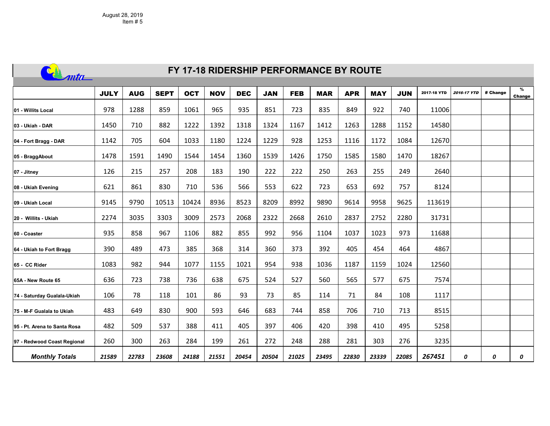

## **FY 17-18 RIDERSHIP PERFORMANCE BY ROUTE**

|                              | <b>JULY</b> | <b>AUG</b> | <b>SEPT</b> | <b>OCT</b> | <b>NOV</b> | <b>DEC</b> | <b>JAN</b> | <b>FEB</b> | <b>MAR</b> | <b>APR</b> | <b>MAY</b> | <b>JUN</b> | 2017-18 YTD | <b>2016-17 YTD</b> | # Change | %<br>Change |
|------------------------------|-------------|------------|-------------|------------|------------|------------|------------|------------|------------|------------|------------|------------|-------------|--------------------|----------|-------------|
| 01 - Willits Local           | 978         | 1288       | 859         | 1061       | 965        | 935        | 851        | 723        | 835        | 849        | 922        | 740        | 11006       |                    |          |             |
| 03 - Ukiah - DAR             | 1450        | 710        | 882         | 1222       | 1392       | 1318       | 1324       | 1167       | 1412       | 1263       | 1288       | 1152       | 14580       |                    |          |             |
| 04 - Fort Bragg - DAR        | 1142        | 705        | 604         | 1033       | 1180       | 1224       | 1229       | 928        | 1253       | 1116       | 1172       | 1084       | 12670       |                    |          |             |
| 05 - BraggAbout              | 1478        | 1591       | 1490        | 1544       | 1454       | 1360       | 1539       | 1426       | 1750       | 1585       | 1580       | 1470       | 18267       |                    |          |             |
| 07 - Jitney                  | 126         | 215        | 257         | 208        | 183        | 190        | 222        | 222        | 250        | 263        | 255        | 249        | 2640        |                    |          |             |
| 08 - Ukiah Evening           | 621         | 861        | 830         | 710        | 536        | 566        | 553        | 622        | 723        | 653        | 692        | 757        | 8124        |                    |          |             |
| 09 - Ukiah Local             | 9145        | 9790       | 10513       | 10424      | 8936       | 8523       | 8209       | 8992       | 9890       | 9614       | 9958       | 9625       | 113619      |                    |          |             |
| 20 - Willits - Ukiah         | 2274        | 3035       | 3303        | 3009       | 2573       | 2068       | 2322       | 2668       | 2610       | 2837       | 2752       | 2280       | 31731       |                    |          |             |
| 60 - Coaster                 | 935         | 858        | 967         | 1106       | 882        | 855        | 992        | 956        | 1104       | 1037       | 1023       | 973        | 11688       |                    |          |             |
| 64 - Ukiah to Fort Bragg     | 390         | 489        | 473         | 385        | 368        | 314        | 360        | 373        | 392        | 405        | 454        | 464        | 4867        |                    |          |             |
| 65 - CC Rider                | 1083        | 982        | 944         | 1077       | 1155       | 1021       | 954        | 938        | 1036       | 1187       | 1159       | 1024       | 12560       |                    |          |             |
| 65A - New Route 65           | 636         | 723        | 738         | 736        | 638        | 675        | 524        | 527        | 560        | 565        | 577        | 675        | 7574        |                    |          |             |
| 74 - Saturday Gualala-Ukiah  | 106         | 78         | 118         | 101        | 86         | 93         | 73         | 85         | 114        | 71         | 84         | 108        | 1117        |                    |          |             |
| 75 - M-F Gualala to Ukiah    | 483         | 649        | 830         | 900        | 593        | 646        | 683        | 744        | 858        | 706        | 710        | 713        | 8515        |                    |          |             |
| 95 - Pt. Arena to Santa Rosa | 482         | 509        | 537         | 388        | 411        | 405        | 397        | 406        | 420        | 398        | 410        | 495        | 5258        |                    |          |             |
| 97 - Redwood Coast Regional  | 260         | 300        | 263         | 284        | 199        | 261        | 272        | 248        | 288        | 281        | 303        | 276        | 3235        |                    |          |             |
| <b>Monthly Totals</b>        | 21589       | 22783      | 23608       | 24188      | 21551      | 20454      | 20504      | 21025      | 23495      | 22830      | 23339      | 22085      | 267451      | 0                  | 0        | 0           |